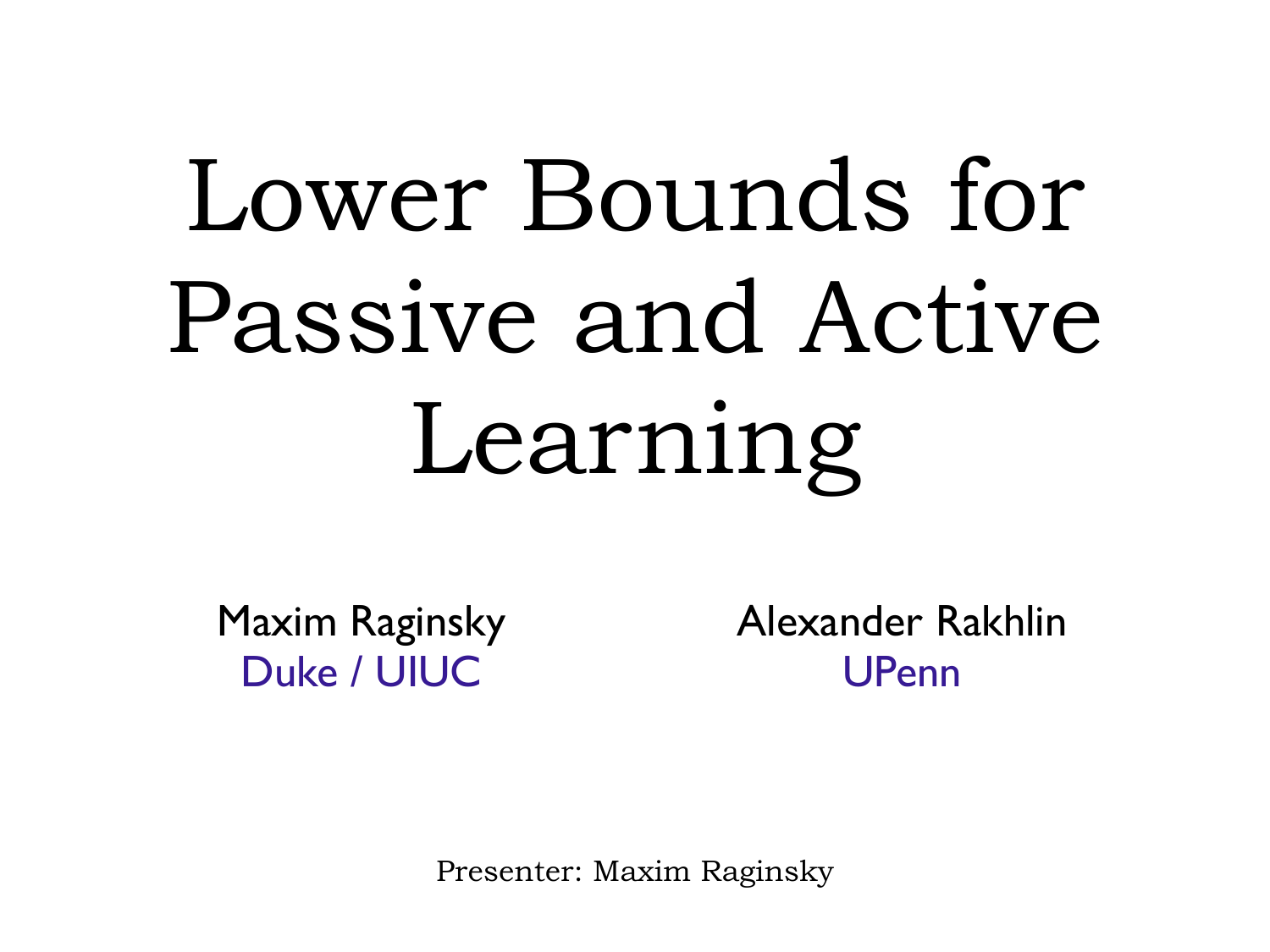## Lower Bounds for Passive and Active Learning

Maxim Raginsky Duke / UIUC

Alexander Rakhlin UPenn

Presenter: Maxim Raginsky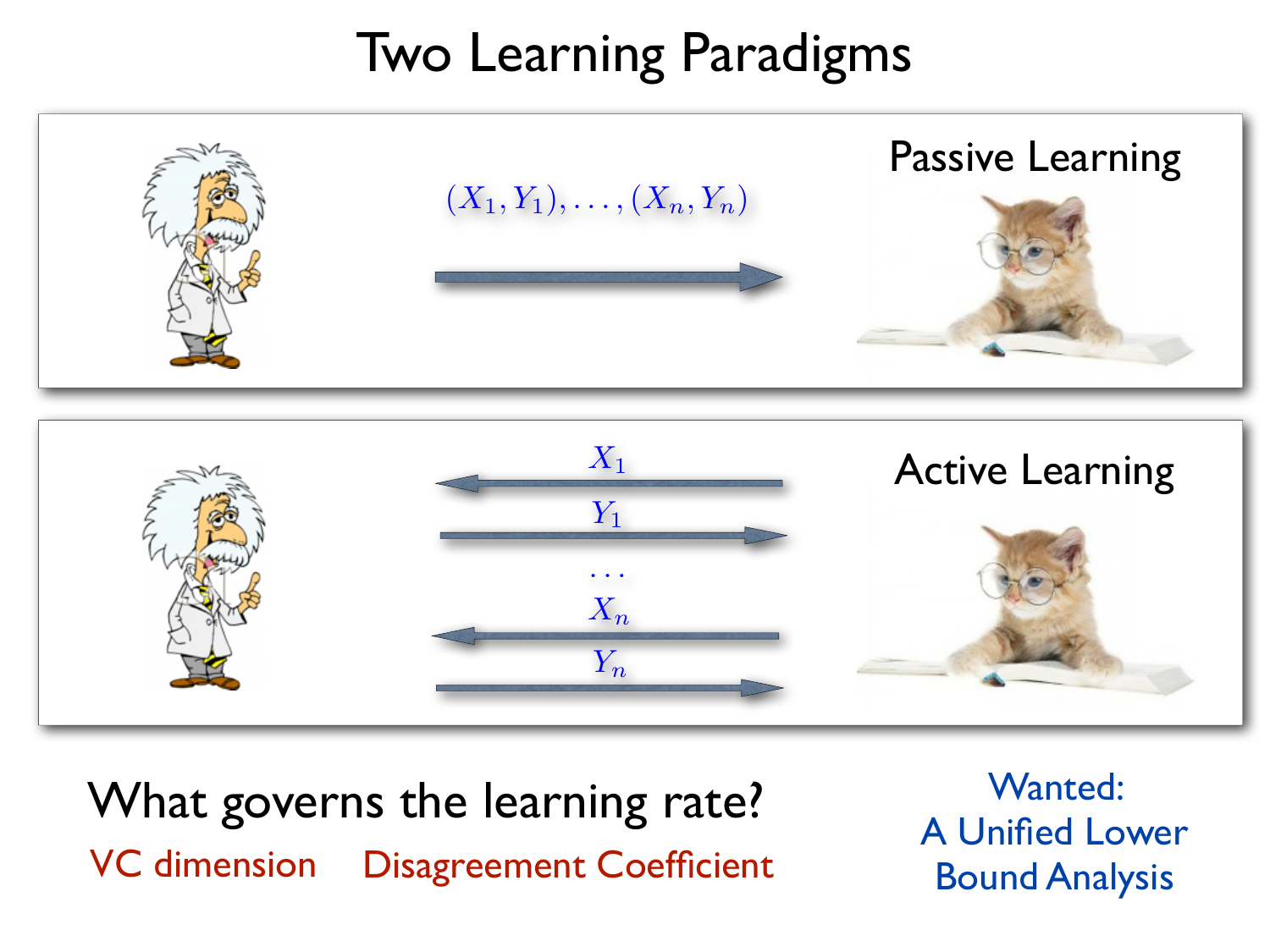## Two Learning Paradigms



What governs the learning rate? VC dimension Disagreement Coefficient

Wanted: A Unified Lower Bound Analysis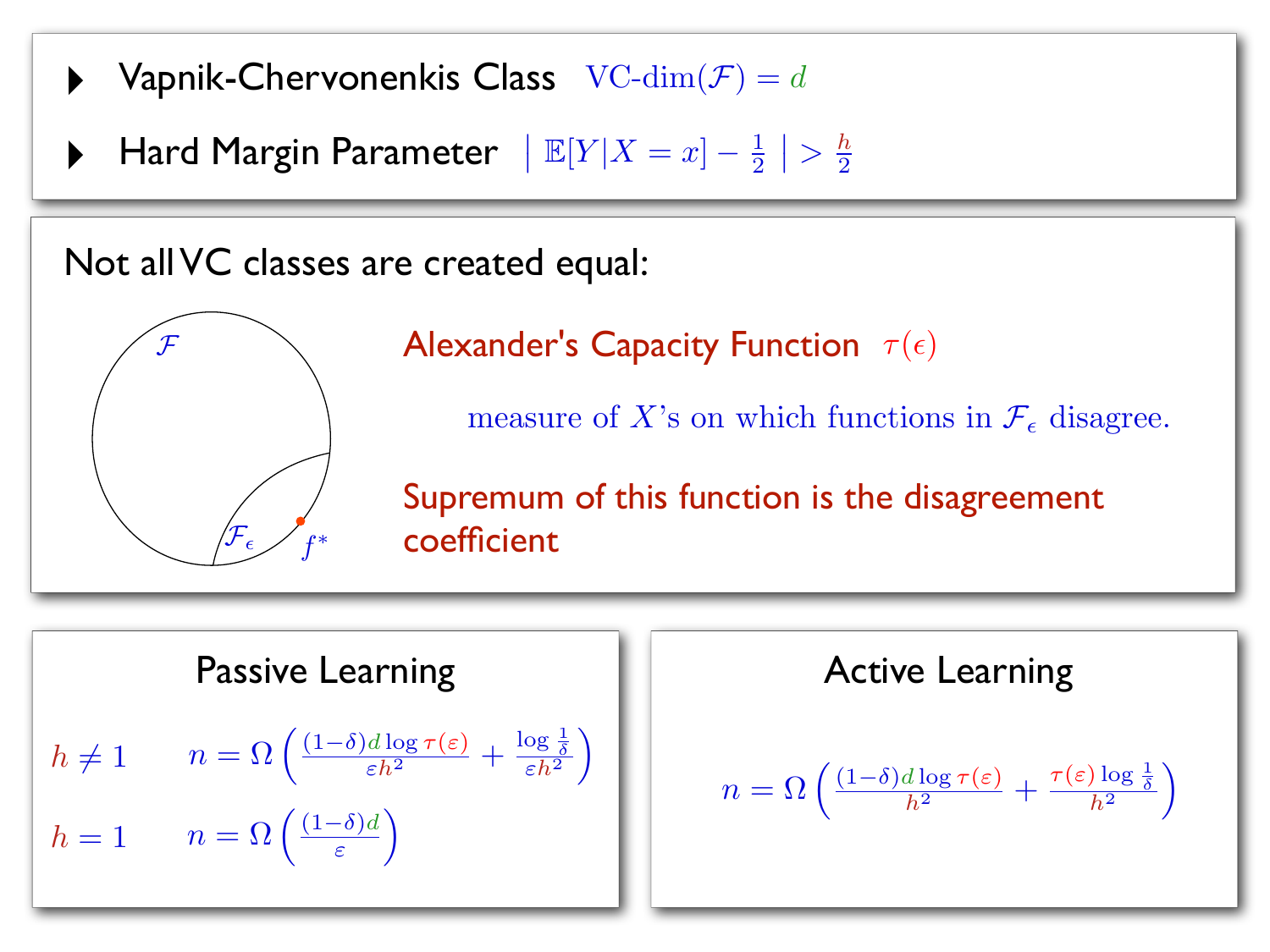- $\blacktriangleright$  Vapnik-Chervonenkis Class  $VC\text{-dim}(\mathcal{F}) = d$
- $\blacktriangleright$  Hard Margin Parameter  $|\mathbb{E}[Y|X=x] \frac{1}{2}$  $\left| \frac{h}{2} \right|$

Not all VC classes are created equal:



Alexander's Capacity Function  $\tau(\epsilon)$ 

measure of X's on which functions in  $\mathcal{F}_{\epsilon}$  disagree.

Supremum of this function is the disagreement coefficient

Passive Learning  $\left(\frac{(1-\delta)d\log\tau(\varepsilon)}{\varepsilon h^2}+\frac{\log\frac{1}{\delta}}{\varepsilon h^2}\right)$  $\underline{\delta}$  $\overline{\varepsilon h^2}$  $\overline{a}$  $n=\Omega$  $\int (1-\delta)d$  $\varepsilon$  $\overline{a}$  $h \neq 1$  $h=1$ 

| Passive Learning                                                                                                                             | Active Learning                                                                                                                                |
|----------------------------------------------------------------------------------------------------------------------------------------------|------------------------------------------------------------------------------------------------------------------------------------------------|
| \n $n = \Omega \left( \frac{(1-\delta)d \log \tau(\varepsilon)}{\varepsilon h^2} + \frac{\log \frac{1}{\delta}}{\varepsilon h^2} \right)$ \n | \n $n = \Omega \left( \frac{(1-\delta)d \log \tau(\varepsilon)}{\varepsilon} + \frac{\tau(\varepsilon) \log \frac{1}{\delta}}{h^2} \right)$ \n |